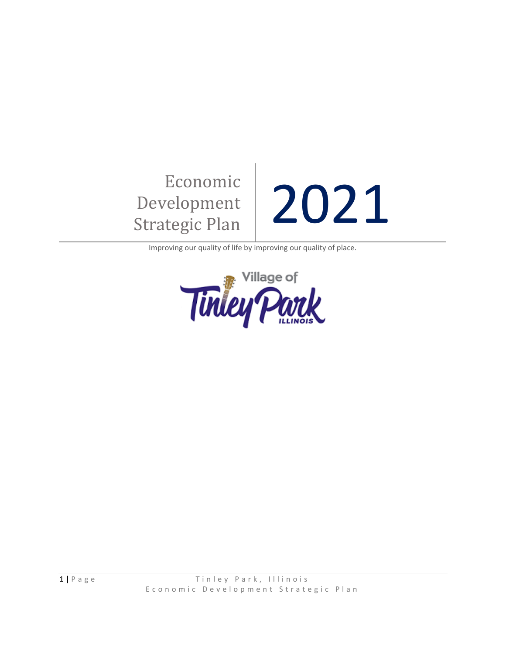# Economic Development Economic<br>Development 2021

Improving our quality of life by improving our quality of place.

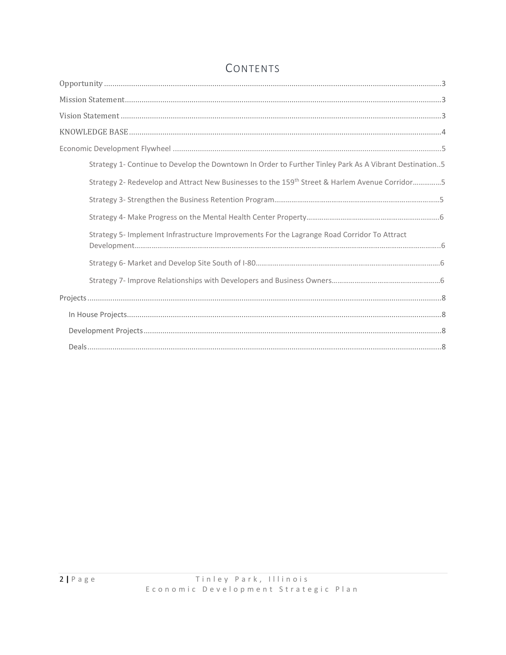| Strategy 1- Continue to Develop the Downtown In Order to Further Tinley Park As A Vibrant Destination5     |
|------------------------------------------------------------------------------------------------------------|
| Strategy 2- Redevelop and Attract New Businesses to the 159 <sup>th</sup> Street & Harlem Avenue Corridor5 |
|                                                                                                            |
|                                                                                                            |
| Strategy 5- Implement Infrastructure Improvements For the Lagrange Road Corridor To Attract                |
|                                                                                                            |
|                                                                                                            |
|                                                                                                            |
|                                                                                                            |
|                                                                                                            |
|                                                                                                            |

# CONTENTS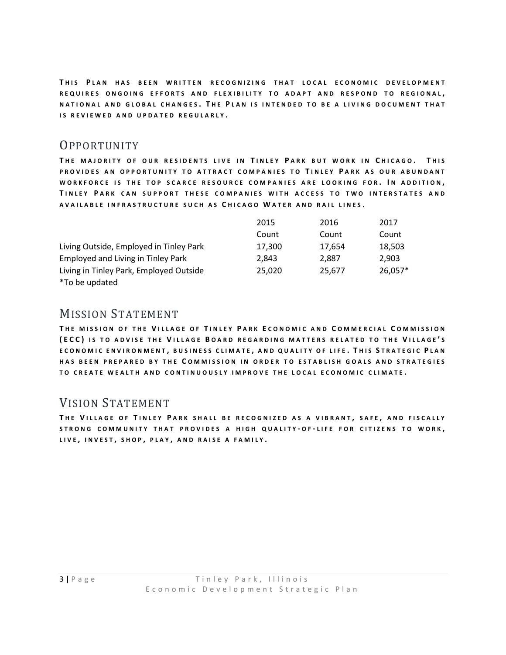THIS PLAN HAS BEEN WRITTEN RECOGNIZING THAT LOCAL ECONOMIC DEVELOPMENT REQUIRES ONGOING EFFORTS AND FLEXIBILITY TO ADAPT AND RESPOND TO REGIONAL, NATIONAL AND GLOBAL CHANGES. THE PLAN IS INTENDED TO BE A LIVING DOCUMENT THAT **IS REVIEWED AND UPDATED REGULARLY.** 

# <span id="page-2-0"></span>**OPPORTUNITY**

**T H E M A J O R I T Y O F O U R R E S I D E N T S L I V E I N T I N L E Y P A R K B U T W O R K I N C H I C A G O . T H I S**  PROVIDES AN OPPORTUNITY TO ATTRACT COMPANIES TO TINLEY PARK AS OUR ABUNDANT **W O R K F O R C E I S T H E T O P S C A R C E R E S O U R C E C O M P A N I E S A R E L O O K I N G F O R . I N A D D I T I O N , T I N L E Y P A R K C A N S U P P O R T T H E S E C O M P A N I E S W I T H A C C E S S T O T W O I N T E R S T A T E S A N D A V A I L A B L E I N F R A S T R U C T U R E S U C H A S C H I C A G O W A T E R A N D R A I L L I N E S** .

|                                         | 2015   | 2016   | 2017    |
|-----------------------------------------|--------|--------|---------|
|                                         | Count  | Count  | Count   |
| Living Outside, Employed in Tinley Park | 17,300 | 17,654 | 18,503  |
| Employed and Living in Tinley Park      | 2.843  | 2.887  | 2.903   |
| Living in Tinley Park, Employed Outside | 25.020 | 25.677 | 26,057* |
| *To be updated                          |        |        |         |

## <span id="page-2-1"></span>MISSION STATEMENT

THE MISSION OF THE VILLAGE OF TINLEY PARK ECONOMIC AND COMMERCIAL COMMISSION **( E C C ) I S T O A D V I S E T H E V I L L A G E B O A R D R E G A R D I N G M A T T E R S R E L A T E D T O T H E V I L L A G E ' S E C O N O M I C E N V I R O N M E N T , B U S I N E S S C L I M A T E , A N D Q U A L I T Y O F L I F E . T H I S S T R A T E G I C P L A N**  HAS BEEN PREPARED BY THE COMMISSION IN ORDER TO ESTABLISH GOALS AND STRATEGIES **T O C R E A T E W E A L T H A N D C O N T I N U O U S L Y I M P R O V E T H E L O C A L E C O N O M I C C L I M A T E .**

# <span id="page-2-2"></span>VISION STATEMENT

**T H E V I L L A G E O F T I N L E Y P A R K S H A L L B E R E C O G N I Z E D A S A V I B R A N T , S A F E , A N D F I S C A L L Y S T R O N G C O M M U N I T Y T H A T P R O V I D E S A H I G H Q U A L I T Y - O F - L I F E F O R C I T I Z E N S T O W O R K , L I V E , I N V E S T , S H O P , P L A Y , A N D R A I S E A F A M I L Y .**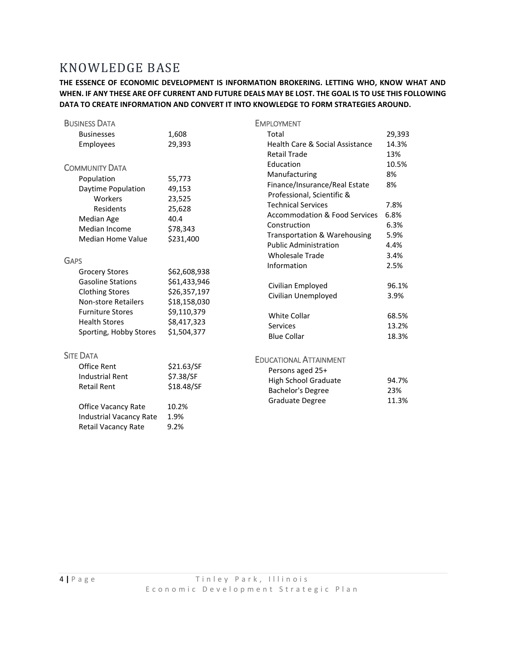# <span id="page-3-0"></span>KNOWLEDGE BASE

**THE ESSENCE OF ECONOMIC DEVELOPMENT IS INFORMATION BROKERING. LETTING WHO, KNOW WHAT AND WHEN. IF ANY THESE ARE OFF CURRENT AND FUTURE DEALS MAY BE LOST. THE GOAL IS TO USE THIS FOLLOWING DATA TO CREATE INFORMATION AND CONVERT IT INTO KNOWLEDGE TO FORM STRATEGIES AROUND.**

| <b>BUSINESS DATA</b>           |              | <b>EMPLOYMENT</b>                                            |              |
|--------------------------------|--------------|--------------------------------------------------------------|--------------|
| <b>Businesses</b>              | 1,608        | Total                                                        | 29,393       |
| Employees                      | 29,393       | <b>Health Care &amp; Social Assistance</b>                   | 14.3%        |
|                                |              | <b>Retail Trade</b>                                          | 13%          |
| <b>COMMUNITY DATA</b>          |              | Education                                                    | 10.5%        |
| Population                     | 55,773       | Manufacturing                                                | 8%<br>8%     |
| Daytime Population             | 49,153       | Finance/Insurance/Real Estate                                |              |
| Workers                        | 23,525       | Professional, Scientific &                                   |              |
| Residents                      | 25,628       | <b>Technical Services</b>                                    | 7.8%         |
| Median Age                     | 40.4         | <b>Accommodation &amp; Food Services</b>                     | 6.8%         |
| Median Income                  | \$78,343     | Construction                                                 | 6.3%         |
| <b>Median Home Value</b>       | \$231,400    | Transportation & Warehousing<br><b>Public Administration</b> | 5.9%<br>4.4% |
|                                |              | <b>Wholesale Trade</b>                                       | 3.4%         |
| <b>GAPS</b>                    |              | Information                                                  | 2.5%         |
| <b>Grocery Stores</b>          | \$62,608,938 |                                                              |              |
| <b>Gasoline Stations</b>       | \$61,433,946 | Civilian Employed                                            | 96.1%        |
| <b>Clothing Stores</b>         | \$26,357,197 | Civilian Unemployed                                          | 3.9%         |
| <b>Non-store Retailers</b>     | \$18,158,030 |                                                              |              |
| <b>Furniture Stores</b>        | \$9,110,379  | <b>White Collar</b>                                          | 68.5%        |
| <b>Health Stores</b>           | \$8,417,323  | <b>Services</b>                                              | 13.2%        |
| Sporting, Hobby Stores         | \$1,504,377  | <b>Blue Collar</b>                                           | 18.3%        |
| <b>SITE DATA</b>               |              | <b>EDUCATIONAL ATTAINMENT</b>                                |              |
| Office Rent                    | \$21.63/SF   | Persons aged 25+                                             |              |
| <b>Industrial Rent</b>         | \$7.38/SF    | <b>High School Graduate</b>                                  | 94.7%        |
| <b>Retail Rent</b>             | \$18.48/SF   | <b>Bachelor's Degree</b>                                     | 23%          |
|                                |              | Graduate Degree                                              | 11.3%        |
| Office Vacancy Rate            | 10.2%        |                                                              |              |
| <b>Industrial Vacancy Rate</b> | 1.9%         |                                                              |              |
| <b>Retail Vacancy Rate</b>     | 9.2%         |                                                              |              |
|                                |              |                                                              |              |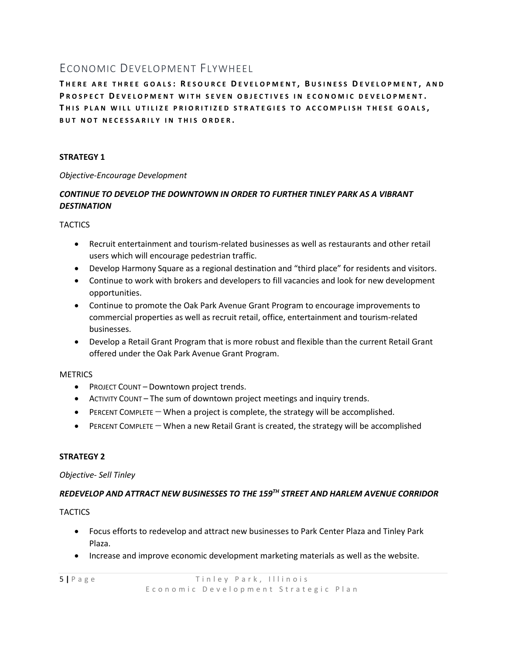# <span id="page-4-0"></span>ECONOMIC DEVELOPMENT FLYWHEEL

**T H E R E A R E T H R E E G O A L S : R E S O U R C E D E V E L O P M E N T , B U S I N E S S D E V E L O P M E N T , A N D**  PROSPECT DEVELOPMENT WITH SEVEN OBJECTIVES IN ECONOMIC DEVELOPMENT. **T H I S P L A N W I L L U T I L I Z E P R I O R I T I Z E D S T R A T E G I E S T O A C C O M P L I S H T H E S E G O A L S , BUT NOT NECESSARILY IN THIS ORDER.** 

## **STRATEGY 1**

#### *Objective-Encourage Development*

## *CONTINUE TO DEVELOP THE DOWNTOWN IN ORDER TO FURTHER TINLEY PARK AS A VIBRANT DESTINATION*

**TACTICS** 

- Recruit entertainment and tourism-related businesses as well as restaurants and other retail users which will encourage pedestrian traffic.
- Develop Harmony Square as a regional destination and "third place" for residents and visitors.
- Continue to work with brokers and developers to fill vacancies and look for new development opportunities.
- Continue to promote the Oak Park Avenue Grant Program to encourage improvements to commercial properties as well as recruit retail, office, entertainment and tourism-related businesses.
- Develop a Retail Grant Program that is more robust and flexible than the current Retail Grant offered under the Oak Park Avenue Grant Program.

### **METRICS**

- PROJECT COUNT Downtown project trends.
- ACTIVITY COUNT The sum of downtown project meetings and inquiry trends.
- PERCENT COMPLETE When a project is complete, the strategy will be accomplished.
- PERCENT COMPLETE When a new Retail Grant is created, the strategy will be accomplished

### **STRATEGY 2**

#### *Objective- Sell Tinley*

## *REDEVELOP AND ATTRACT NEW BUSINESSES TO THE 159TH STREET AND HARLEM AVENUE CORRIDOR*

#### **TACTICS**

- Focus efforts to redevelop and attract new businesses to Park Center Plaza and Tinley Park Plaza.
- Increase and improve economic development marketing materials as well as the website.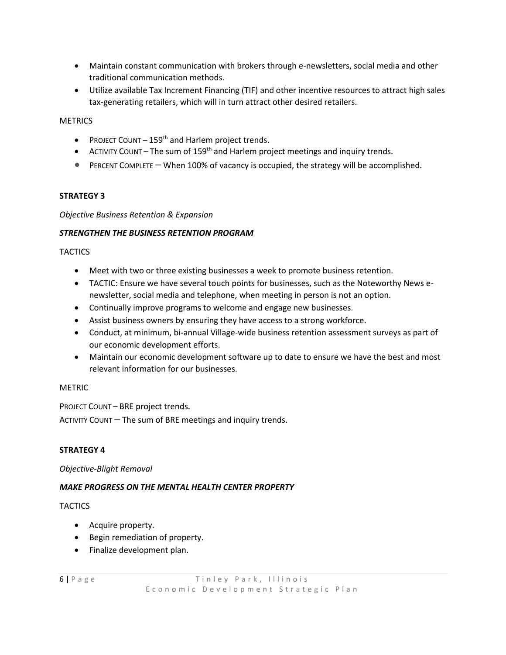- Maintain constant communication with brokers through e-newsletters, social media and other traditional communication methods.
- Utilize available Tax Increment Financing (TIF) and other incentive resources to attract high sales tax-generating retailers, which will in turn attract other desired retailers.

#### **METRICS**

- PROJECT COUNT  $-159<sup>th</sup>$  and Harlem project trends.
- ACTIVITY COUNT The sum of 159<sup>th</sup> and Harlem project meetings and inquiry trends.
- PERCENT COMPLETE When 100% of vacancy is occupied, the strategy will be accomplished.

#### **STRATEGY 3**

#### *Objective Business Retention & Expansion*

#### *STRENGTHEN THE BUSINESS RETENTION PROGRAM*

#### **TACTICS**

- Meet with two or three existing businesses a week to promote business retention.
- TACTIC: Ensure we have several touch points for businesses, such as the Noteworthy News enewsletter, social media and telephone, when meeting in person is not an option.
- Continually improve programs to welcome and engage new businesses.
- Assist business owners by ensuring they have access to a strong workforce.
- Conduct, at minimum, bi-annual Village-wide business retention assessment surveys as part of our economic development efforts.
- Maintain our economic development software up to date to ensure we have the best and most relevant information for our businesses.

#### METRIC

PROJECT COUNT – BRE project trends.

ACTIVITY COUNT  $-$  The sum of BRE meetings and inquiry trends.

#### **STRATEGY 4**

#### *Objective-Blight Removal*

#### *MAKE PROGRESS ON THE MENTAL HEALTH CENTER PROPERTY*

#### **TACTICS**

- Acquire property.
- Begin remediation of property.
- Finalize development plan.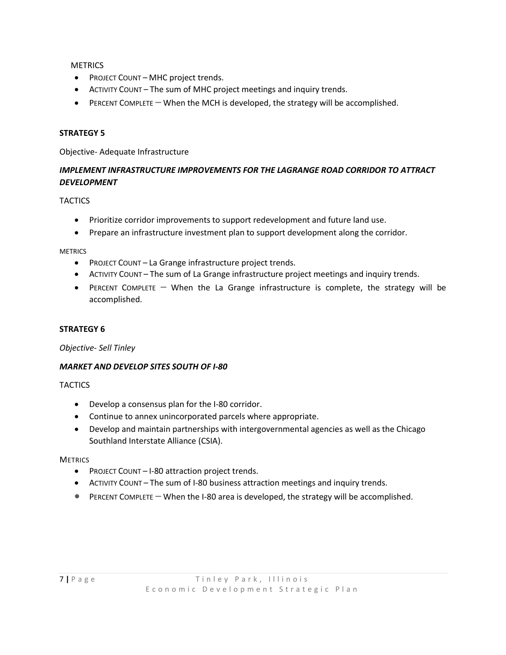**METRICS** 

- PROJECT COUNT MHC project trends.
- ACTIVITY COUNT The sum of MHC project meetings and inquiry trends.
- PERCENT COMPLETE When the MCH is developed, the strategy will be accomplished.

#### **STRATEGY 5**

Objective- Adequate Infrastructure

## *IMPLEMENT INFRASTRUCTURE IMPROVEMENTS FOR THE LAGRANGE ROAD CORRIDOR TO ATTRACT DEVELOPMENT*

**TACTICS** 

- Prioritize corridor improvements to support redevelopment and future land use.
- Prepare an infrastructure investment plan to support development along the corridor.

METRICS

- PROJECT COUNT La Grange infrastructure project trends.
- ACTIVITY COUNT The sum of La Grange infrastructure project meetings and inquiry trends.
- PERCENT COMPLETE When the La Grange infrastructure is complete, the strategy will be accomplished.

#### **STRATEGY 6**

*Objective- Sell Tinley*

#### *MARKET AND DEVELOP SITES SOUTH OF I-80*

**TACTICS** 

- Develop a consensus plan for the I-80 corridor.
- Continue to annex unincorporated parcels where appropriate.
- Develop and maintain partnerships with intergovernmental agencies as well as the Chicago Southland Interstate Alliance (CSIA).

**METRICS** 

- PROJECT COUNT I-80 attraction project trends.
- ACTIVITY COUNT The sum of I-80 business attraction meetings and inquiry trends.
- PERCENT COMPLETE When the I-80 area is developed, the strategy will be accomplished.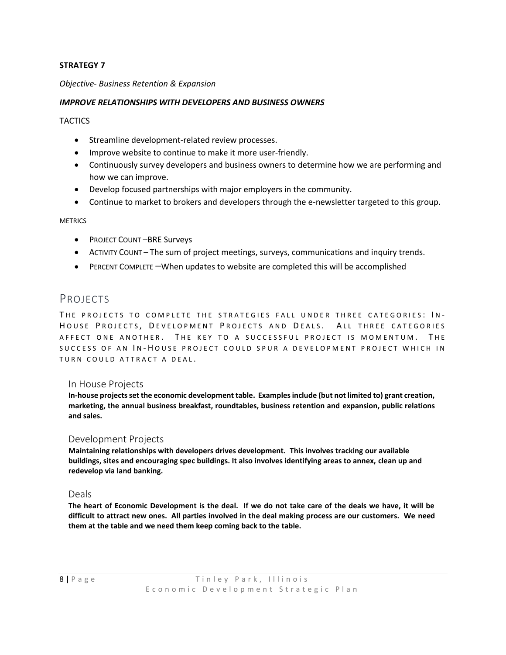#### **STRATEGY 7**

#### *Objective- Business Retention & Expansion*

#### *IMPROVE RELATIONSHIPS WITH DEVELOPERS AND BUSINESS OWNERS*

**TACTICS** 

- Streamline development-related review processes.
- Improve website to continue to make it more user-friendly.
- Continuously survey developers and business owners to determine how we are performing and how we can improve.
- Develop focused partnerships with major employers in the community.
- Continue to market to brokers and developers through the e-newsletter targeted to this group.

#### **METRICS**

- PROJECT COUNT –BRE Surveys
- ACTIVITY COUNT The sum of project meetings, surveys, communications and inquiry trends.
- PERCENT COMPLETE –When updates to website are completed this will be accomplished

## <span id="page-7-0"></span>PROJECTS

THE PROJECTS TO COMPLETE THE STRATEGIES FALL UNDER THREE CATEGORIES: IN-HOUSE PROJECTS, DEVELOPMENT PROJECTS AND DEALS. ALL THREE CATEGORIES AFFECT ONE ANOTHER. THE KEY TO A SUCCESSFUL PROJECT IS MOMENTUM. THE SUCCESS OF AN IN-HOUSE PROJECT COULD SPUR A DEVELOPMENT PROJECT WHICH IN TURN COULD ATTRACT A DEAL.

#### <span id="page-7-1"></span>In House Projects

**In-house projects set the economic development table. Examples include (but not limited to) grant creation, marketing, the annual business breakfast, roundtables, business retention and expansion, public relations and sales.**

#### <span id="page-7-2"></span>Development Projects

**Maintaining relationships with developers drives development. This involves tracking our available buildings, sites and encouraging spec buildings. It also involves identifying areas to annex, clean up and redevelop via land banking.**

#### <span id="page-7-3"></span>Deals

**The heart of Economic Development is the deal. If we do not take care of the deals we have, it will be difficult to attract new ones. All parties involved in the deal making process are our customers. We need them at the table and we need them keep coming back to the table.**